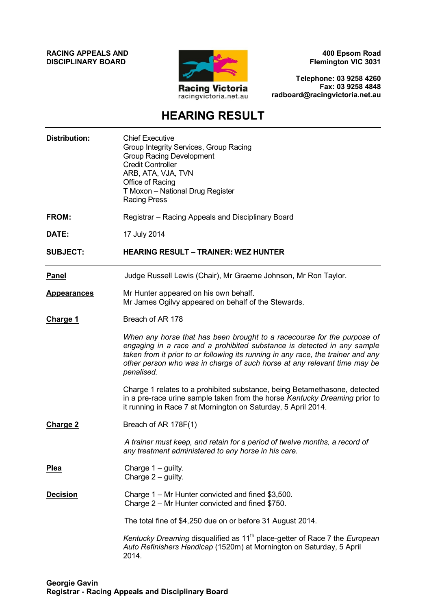**RACING APPEALS AND DISCIPLINARY BOARD**



**400 Epsom Road Flemington VIC 3031**

**Telephone: 03 9258 4260 Fax: 03 9258 4848 radboard@racingvictoria.net.au**

# **HEARING RESULT**

| <b>Distribution:</b> | <b>Chief Executive</b><br>Group Integrity Services, Group Racing<br><b>Group Racing Development</b><br><b>Credit Controller</b><br>ARB, ATA, VJA, TVN<br>Office of Racing<br>T Moxon - National Drug Register<br><b>Racing Press</b>                                                                                             |
|----------------------|----------------------------------------------------------------------------------------------------------------------------------------------------------------------------------------------------------------------------------------------------------------------------------------------------------------------------------|
| FROM:                | Registrar - Racing Appeals and Disciplinary Board                                                                                                                                                                                                                                                                                |
| DATE:                | 17 July 2014                                                                                                                                                                                                                                                                                                                     |
| <b>SUBJECT:</b>      | <b>HEARING RESULT - TRAINER: WEZ HUNTER</b>                                                                                                                                                                                                                                                                                      |
| <b>Panel</b>         | Judge Russell Lewis (Chair), Mr Graeme Johnson, Mr Ron Taylor.                                                                                                                                                                                                                                                                   |
| <b>Appearances</b>   | Mr Hunter appeared on his own behalf.<br>Mr James Ogilvy appeared on behalf of the Stewards.                                                                                                                                                                                                                                     |
| <u>Charge 1</u>      | Breach of AR 178                                                                                                                                                                                                                                                                                                                 |
|                      | When any horse that has been brought to a racecourse for the purpose of<br>engaging in a race and a prohibited substance is detected in any sample<br>taken from it prior to or following its running in any race, the trainer and any<br>other person who was in charge of such horse at any relevant time may be<br>penalised. |
|                      | Charge 1 relates to a prohibited substance, being Betamethasone, detected<br>in a pre-race urine sample taken from the horse Kentucky Dreaming prior to<br>it running in Race 7 at Mornington on Saturday, 5 April 2014.                                                                                                         |
| <b>Charge 2</b>      | Breach of AR 178F(1)                                                                                                                                                                                                                                                                                                             |
|                      | A trainer must keep, and retain for a period of twelve months, a record of<br>any treatment administered to any horse in his care.                                                                                                                                                                                               |
| <u>Plea</u>          | Charge $1 -$ guilty.<br>Charge 2 – guilty.                                                                                                                                                                                                                                                                                       |
| <b>Decision</b>      | Charge 1 – Mr Hunter convicted and fined \$3,500.<br>Charge 2 - Mr Hunter convicted and fined \$750.                                                                                                                                                                                                                             |
|                      | The total fine of \$4,250 due on or before 31 August 2014.                                                                                                                                                                                                                                                                       |
|                      | Kentucky Dreaming disqualified as 11 <sup>th</sup> place-getter of Race 7 the European<br>Auto Refinishers Handicap (1520m) at Mornington on Saturday, 5 April<br>2014.                                                                                                                                                          |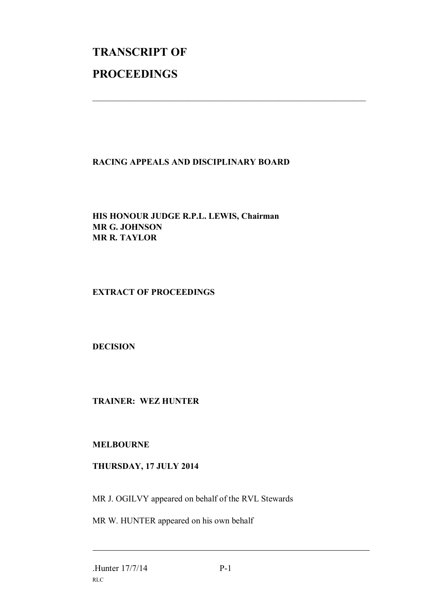# **TRANSCRIPT OF PROCEEDINGS**

## **RACING APPEALS AND DISCIPLINARY BOARD**

 $\mathcal{L}_\text{max}$  , and the contribution of the contribution of the contribution of the contribution of the contribution of the contribution of the contribution of the contribution of the contribution of the contribution of t

## **HIS HONOUR JUDGE R.P.L. LEWIS, Chairman MR G. JOHNSON MR R. TAYLOR**

## **EXTRACT OF PROCEEDINGS**

## **DECISION**

## **TRAINER: WEZ HUNTER**

#### **MELBOURNE**

## **THURSDAY, 17 JULY 2014**

MR J. OGILVY appeared on behalf of the RVL Stewards

MR W. HUNTER appeared on his own behalf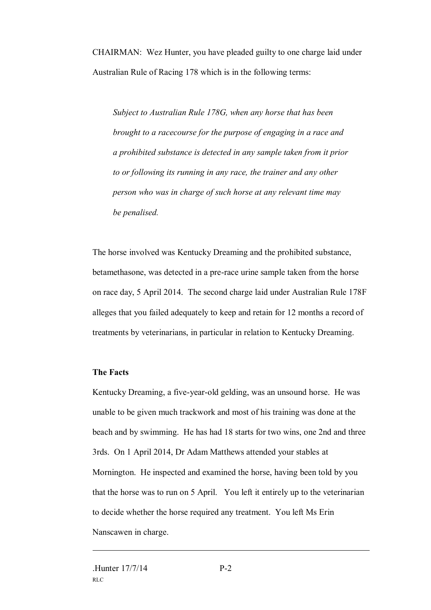CHAIRMAN: Wez Hunter, you have pleaded guilty to one charge laid under Australian Rule of Racing 178 which is in the following terms:

*Subject to Australian Rule 178G, when any horse that has been brought to a racecourse for the purpose of engaging in a race and a prohibited substance is detected in any sample taken from it prior to or following its running in any race, the trainer and any other person who was in charge of such horse at any relevant time may be penalised.*

The horse involved was Kentucky Dreaming and the prohibited substance, betamethasone, was detected in a pre-race urine sample taken from the horse on race day, 5 April 2014. The second charge laid under Australian Rule 178F alleges that you failed adequately to keep and retain for 12 months a record of treatments by veterinarians, in particular in relation to Kentucky Dreaming.

#### **The Facts**

Kentucky Dreaming, a five-year-old gelding, was an unsound horse. He was unable to be given much trackwork and most of his training was done at the beach and by swimming. He has had 18 starts for two wins, one 2nd and three 3rds. On 1 April 2014, Dr Adam Matthews attended your stables at Mornington. He inspected and examined the horse, having been told by you that the horse was to run on 5 April. You left it entirely up to the veterinarian to decide whether the horse required any treatment. You left Ms Erin Nanscawen in charge.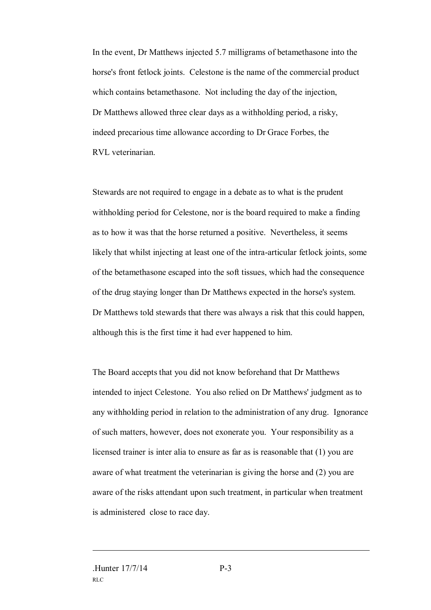In the event, Dr Matthews injected 5.7 milligrams of betamethasone into the horse's front fetlock joints. Celestone is the name of the commercial product which contains betamethasone. Not including the day of the injection, Dr Matthews allowed three clear days as a withholding period, a risky, indeed precarious time allowance according to Dr Grace Forbes, the RVL veterinarian.

Stewards are not required to engage in a debate as to what is the prudent withholding period for Celestone, nor is the board required to make a finding as to how it was that the horse returned a positive. Nevertheless, it seems likely that whilst injecting at least one of the intra-articular fetlock joints, some of the betamethasone escaped into the soft tissues, which had the consequence of the drug staying longer than Dr Matthews expected in the horse's system. Dr Matthews told stewards that there was always a risk that this could happen, although this is the first time it had ever happened to him.

The Board accepts that you did not know beforehand that Dr Matthews intended to inject Celestone. You also relied on Dr Matthews' judgment as to any withholding period in relation to the administration of any drug. Ignorance of such matters, however, does not exonerate you. Your responsibility as a licensed trainer is inter alia to ensure as far as is reasonable that (1) you are aware of what treatment the veterinarian is giving the horse and (2) you are aware of the risks attendant upon such treatment, in particular when treatment is administered close to race day.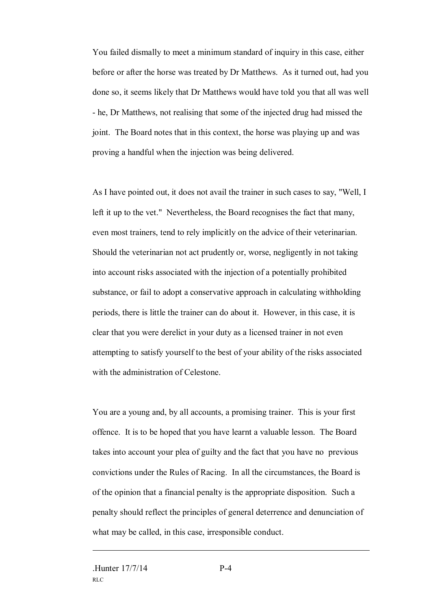You failed dismally to meet a minimum standard of inquiry in this case, either before or after the horse was treated by Dr Matthews. As it turned out, had you done so, it seems likely that Dr Matthews would have told you that all was well - he, Dr Matthews, not realising that some of the injected drug had missed the joint. The Board notes that in this context, the horse was playing up and was proving a handful when the injection was being delivered.

As I have pointed out, it does not avail the trainer in such cases to say, "Well, I left it up to the vet." Nevertheless, the Board recognises the fact that many, even most trainers, tend to rely implicitly on the advice of their veterinarian. Should the veterinarian not act prudently or, worse, negligently in not taking into account risks associated with the injection of a potentially prohibited substance, or fail to adopt a conservative approach in calculating withholding periods, there is little the trainer can do about it. However, in this case, it is clear that you were derelict in your duty as a licensed trainer in not even attempting to satisfy yourself to the best of your ability of the risks associated with the administration of Celestone.

You are a young and, by all accounts, a promising trainer. This is your first offence. It is to be hoped that you have learnt a valuable lesson. The Board takes into account your plea of guilty and the fact that you have no previous convictions under the Rules of Racing. In all the circumstances, the Board is of the opinion that a financial penalty is the appropriate disposition. Such a penalty should reflect the principles of general deterrence and denunciation of what may be called, in this case, irresponsible conduct.